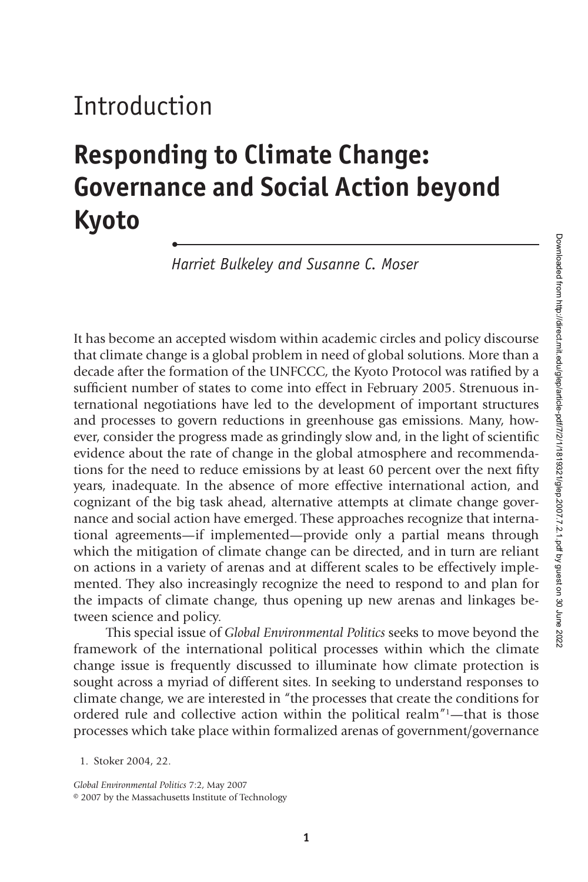# Introduction

•

# **Responding to Climate Change: Governance and Social Action beyond Kyoto**

*Harriet Bulkeley and Susanne C. Moser*

It has become an accepted wisdom within academic circles and policy discourse that climate change is a global problem in need of global solutions. More than a decade after the formation of the UNFCCC, the Kyoto Protocol was ratified by a sufficient number of states to come into effect in February 2005. Strenuous international negotiations have led to the development of important structures and processes to govern reductions in greenhouse gas emissions. Many, however, consider the progress made as grindingly slow and, in the light of scientific evidence about the rate of change in the global atmosphere and recommendations for the need to reduce emissions by at least 60 percent over the next fifty years, inadequate. In the absence of more effective international action, and cognizant of the big task ahead, alternative attempts at climate change governance and social action have emerged. These approaches recognize that international agreements—if implemented—provide only a partial means through which the mitigation of climate change can be directed, and in turn are reliant on actions in a variety of arenas and at different scales to be effectively implemented. They also increasingly recognize the need to respond to and plan for the impacts of climate change, thus opening up new arenas and linkages between science and policy.

This special issue of *Global Environmental Politics* seeks to move beyond the framework of the international political processes within which the climate change issue is frequently discussed to illuminate how climate protection is sought across a myriad of different sites. In seeking to understand responses to climate change, we are interested in "the processes that create the conditions for ordered rule and collective action within the political realm<sup>"1</sup>—that is those processes which take place within formalized arenas of government/governance

*Global Environmental Politics* 7:2, May 2007 © 2007 by the Massachusetts Institute of Technology

<sup>1.</sup> Stoker 2004, 22.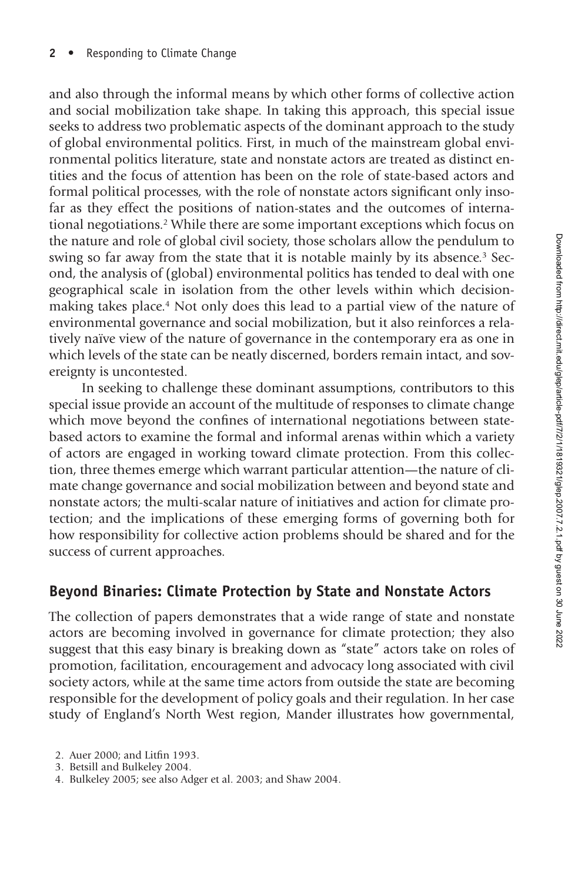and also through the informal means by which other forms of collective action and social mobilization take shape. In taking this approach, this special issue seeks to address two problematic aspects of the dominant approach to the study of global environmental politics. First, in much of the mainstream global environmental politics literature, state and nonstate actors are treated as distinct entities and the focus of attention has been on the role of state-based actors and formal political processes, with the role of nonstate actors significant only insofar as they effect the positions of nation-states and the outcomes of international negotiations.2 While there are some important exceptions which focus on the nature and role of global civil society, those scholars allow the pendulum to swing so far away from the state that it is notable mainly by its absence.<sup>3</sup> Second, the analysis of (global) environmental politics has tended to deal with one geographical scale in isolation from the other levels within which decisionmaking takes place.<sup>4</sup> Not only does this lead to a partial view of the nature of environmental governance and social mobilization, but it also reinforces a relatively naïve view of the nature of governance in the contemporary era as one in which levels of the state can be neatly discerned, borders remain intact, and sovereignty is uncontested.

In seeking to challenge these dominant assumptions, contributors to this special issue provide an account of the multitude of responses to climate change which move beyond the confines of international negotiations between statebased actors to examine the formal and informal arenas within which a variety of actors are engaged in working toward climate protection. From this collection, three themes emerge which warrant particular attention—the nature of climate change governance and social mobilization between and beyond state and nonstate actors; the multi-scalar nature of initiatives and action for climate protection; and the implications of these emerging forms of governing both for how responsibility for collective action problems should be shared and for the success of current approaches.

#### **Beyond Binaries: Climate Protection by State and Nonstate Actors**

The collection of papers demonstrates that a wide range of state and nonstate actors are becoming involved in governance for climate protection; they also suggest that this easy binary is breaking down as "state" actors take on roles of promotion, facilitation, encouragement and advocacy long associated with civil society actors, while at the same time actors from outside the state are becoming responsible for the development of policy goals and their regulation. In her case study of England's North West region, Mander illustrates how governmental,

<sup>2.</sup> Auer 2000; and Litfin 1993.

<sup>3.</sup> Betsill and Bulkeley 2004.

<sup>4.</sup> Bulkeley 2005; see also Adger et al. 2003; and Shaw 2004.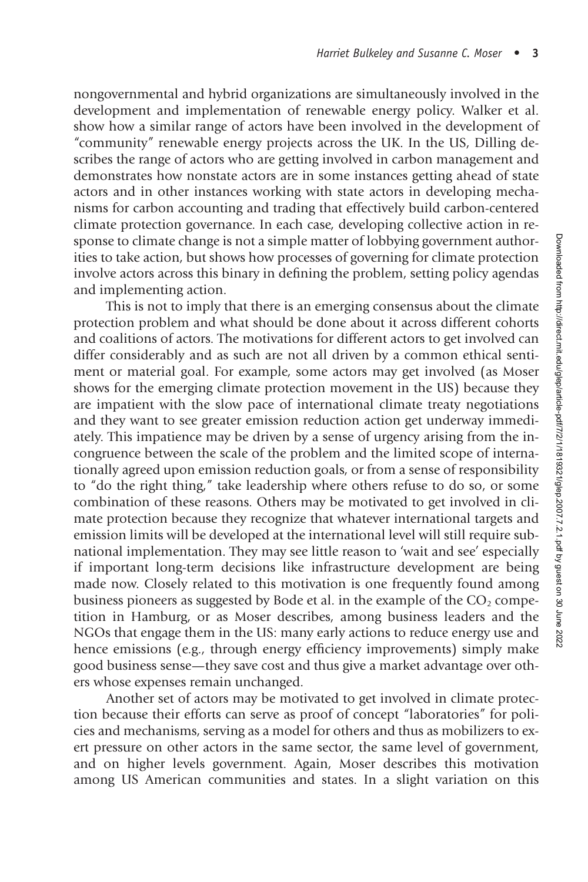nongovernmental and hybrid organizations are simultaneously involved in the development and implementation of renewable energy policy. Walker et al. show how a similar range of actors have been involved in the development of "community" renewable energy projects across the UK. In the US, Dilling describes the range of actors who are getting involved in carbon management and demonstrates how nonstate actors are in some instances getting ahead of state actors and in other instances working with state actors in developing mechanisms for carbon accounting and trading that effectively build carbon-centered climate protection governance. In each case, developing collective action in response to climate change is not a simple matter of lobbying government authorities to take action, but shows how processes of governing for climate protection involve actors across this binary in defining the problem, setting policy agendas and implementing action.

This is not to imply that there is an emerging consensus about the climate protection problem and what should be done about it across different cohorts and coalitions of actors. The motivations for different actors to get involved can differ considerably and as such are not all driven by a common ethical sentiment or material goal. For example, some actors may get involved (as Moser shows for the emerging climate protection movement in the US) because they are impatient with the slow pace of international climate treaty negotiations and they want to see greater emission reduction action get underway immediately. This impatience may be driven by a sense of urgency arising from the incongruence between the scale of the problem and the limited scope of internationally agreed upon emission reduction goals, or from a sense of responsibility to "do the right thing," take leadership where others refuse to do so, or some combination of these reasons. Others may be motivated to get involved in climate protection because they recognize that whatever international targets and emission limits will be developed at the international level will still require subnational implementation. They may see little reason to 'wait and see' especially if important long-term decisions like infrastructure development are being made now. Closely related to this motivation is one frequently found among business pioneers as suggested by Bode et al. in the example of the  $CO<sub>2</sub>$  competition in Hamburg, or as Moser describes, among business leaders and the NGOs that engage them in the US: many early actions to reduce energy use and hence emissions (e.g., through energy efficiency improvements) simply make good business sense—they save cost and thus give a market advantage over others whose expenses remain unchanged.

Another set of actors may be motivated to get involved in climate protection because their efforts can serve as proof of concept "laboratories" for policies and mechanisms, serving as a model for others and thus as mobilizers to exert pressure on other actors in the same sector, the same level of government, and on higher levels government. Again, Moser describes this motivation among US American communities and states. In a slight variation on this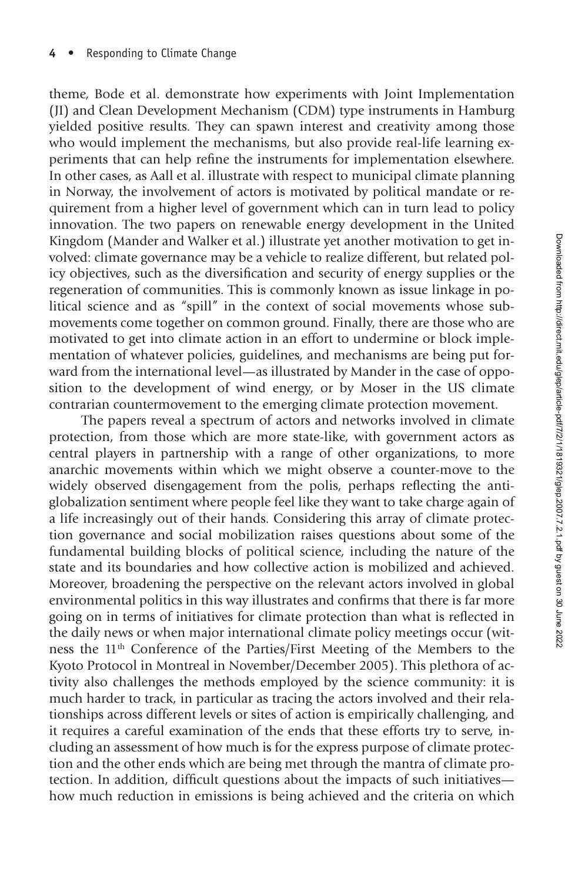theme, Bode et al. demonstrate how experiments with Joint Implementation (JI) and Clean Development Mechanism (CDM) type instruments in Hamburg yielded positive results. They can spawn interest and creativity among those who would implement the mechanisms, but also provide real-life learning experiments that can help refine the instruments for implementation elsewhere. In other cases, as Aall et al. illustrate with respect to municipal climate planning in Norway, the involvement of actors is motivated by political mandate or requirement from a higher level of government which can in turn lead to policy innovation. The two papers on renewable energy development in the United Kingdom (Mander and Walker et al.) illustrate yet another motivation to get involved: climate governance may be a vehicle to realize different, but related policy objectives, such as the diversification and security of energy supplies or the regeneration of communities. This is commonly known as issue linkage in political science and as "spill" in the context of social movements whose submovements come together on common ground. Finally, there are those who are motivated to get into climate action in an effort to undermine or block implementation of whatever policies, guidelines, and mechanisms are being put forward from the international level—as illustrated by Mander in the case of opposition to the development of wind energy, or by Moser in the US climate contrarian countermovement to the emerging climate protection movement.

The papers reveal a spectrum of actors and networks involved in climate protection, from those which are more state-like, with government actors as central players in partnership with a range of other organizations, to more anarchic movements within which we might observe a counter-move to the widely observed disengagement from the polis, perhaps reflecting the antiglobalization sentiment where people feel like they want to take charge again of a life increasingly out of their hands. Considering this array of climate protection governance and social mobilization raises questions about some of the fundamental building blocks of political science, including the nature of the state and its boundaries and how collective action is mobilized and achieved. Moreover, broadening the perspective on the relevant actors involved in global environmental politics in this way illustrates and confirms that there is far more going on in terms of initiatives for climate protection than what is reflected in the daily news or when major international climate policy meetings occur (witness the 11th Conference of the Parties/First Meeting of the Members to the Kyoto Protocol in Montreal in November/December 2005). This plethora of activity also challenges the methods employed by the science community: it is much harder to track, in particular as tracing the actors involved and their relationships across different levels or sites of action is empirically challenging, and it requires a careful examination of the ends that these efforts try to serve, including an assessment of how much is for the express purpose of climate protection and the other ends which are being met through the mantra of climate protection. In addition, difficult questions about the impacts of such initiatives how much reduction in emissions is being achieved and the criteria on which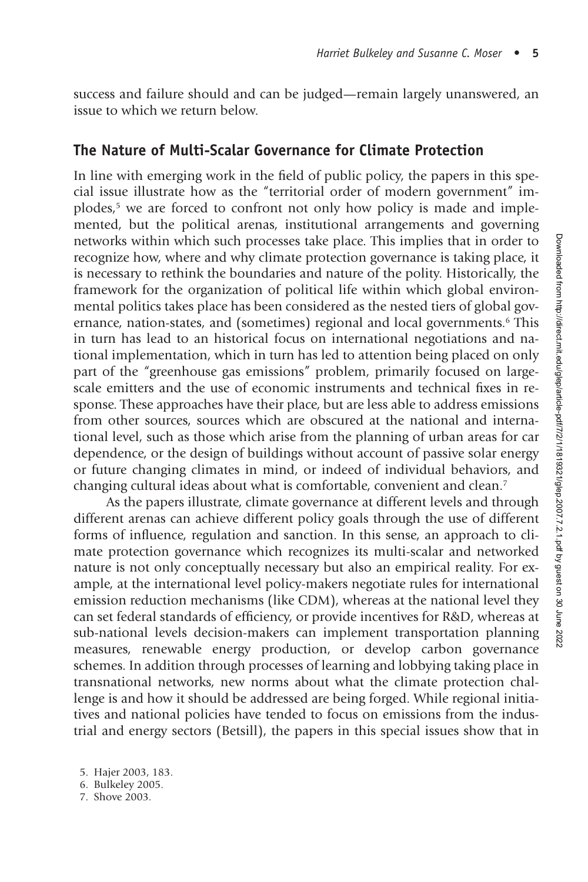success and failure should and can be judged—remain largely unanswered, an issue to which we return below.

### **The Nature of Multi-Scalar Governance for Climate Protection**

In line with emerging work in the field of public policy, the papers in this special issue illustrate how as the "territorial order of modern government" implodes,<sup>5</sup> we are forced to confront not only how policy is made and implemented, but the political arenas, institutional arrangements and governing networks within which such processes take place. This implies that in order to recognize how, where and why climate protection governance is taking place, it is necessary to rethink the boundaries and nature of the polity. Historically, the framework for the organization of political life within which global environmental politics takes place has been considered as the nested tiers of global governance, nation-states, and (sometimes) regional and local governments.<sup>6</sup> This in turn has lead to an historical focus on international negotiations and national implementation, which in turn has led to attention being placed on only part of the "greenhouse gas emissions" problem, primarily focused on largescale emitters and the use of economic instruments and technical fixes in response. These approaches have their place, but are less able to address emissions from other sources, sources which are obscured at the national and international level, such as those which arise from the planning of urban areas for car dependence, or the design of buildings without account of passive solar energy or future changing climates in mind, or indeed of individual behaviors, and changing cultural ideas about what is comfortable, convenient and clean.7

As the papers illustrate, climate governance at different levels and through different arenas can achieve different policy goals through the use of different forms of influence, regulation and sanction. In this sense, an approach to climate protection governance which recognizes its multi-scalar and networked nature is not only conceptually necessary but also an empirical reality. For example, at the international level policy-makers negotiate rules for international emission reduction mechanisms (like CDM), whereas at the national level they can set federal standards of efficiency, or provide incentives for R&D, whereas at sub-national levels decision-makers can implement transportation planning measures, renewable energy production, or develop carbon governance schemes. In addition through processes of learning and lobbying taking place in transnational networks, new norms about what the climate protection challenge is and how it should be addressed are being forged. While regional initiatives and national policies have tended to focus on emissions from the industrial and energy sectors (Betsill), the papers in this special issues show that in

<sup>5.</sup> Hajer 2003, 183.

<sup>6.</sup> Bulkeley 2005.

<sup>7.</sup> Shove 2003.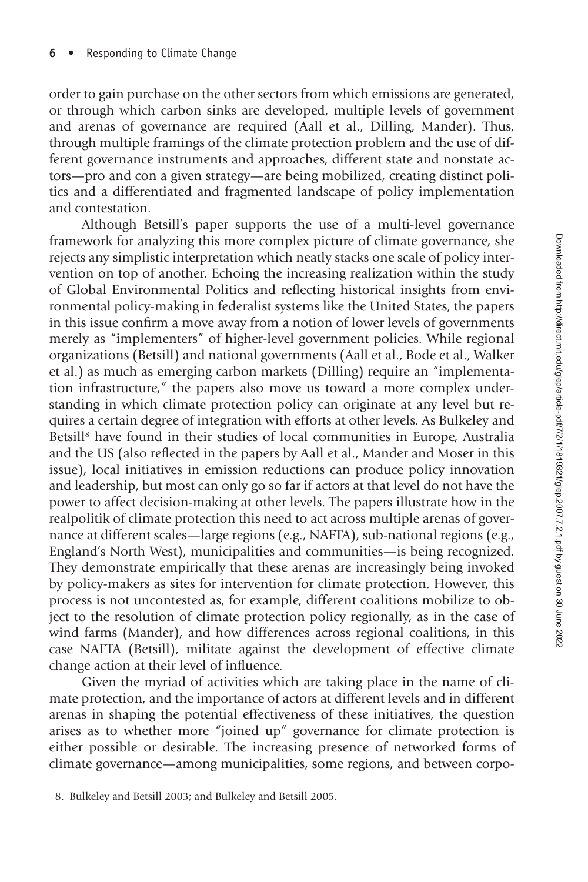order to gain purchase on the other sectors from which emissions are generated, or through which carbon sinks are developed, multiple levels of government and arenas of governance are required (Aall et al., Dilling, Mander). Thus, through multiple framings of the climate protection problem and the use of different governance instruments and approaches, different state and nonstate actors—pro and con a given strategy—are being mobilized, creating distinct politics and a differentiated and fragmented landscape of policy implementation and contestation.

Although Betsill's paper supports the use of a multi-level governance framework for analyzing this more complex picture of climate governance, she rejects any simplistic interpretation which neatly stacks one scale of policy intervention on top of another. Echoing the increasing realization within the study of Global Environmental Politics and reflecting historical insights from environmental policy-making in federalist systems like the United States, the papers in this issue confirm a move away from a notion of lower levels of governments merely as "implementers" of higher-level government policies. While regional organizations (Betsill) and national governments (Aall et al., Bode et al., Walker et al.) as much as emerging carbon markets (Dilling) require an "implementation infrastructure," the papers also move us toward a more complex understanding in which climate protection policy can originate at any level but requires a certain degree of integration with efforts at other levels. As Bulkeley and Betsill8 have found in their studies of local communities in Europe, Australia and the US (also reflected in the papers by Aall et al., Mander and Moser in this issue), local initiatives in emission reductions can produce policy innovation and leadership, but most can only go so far if actors at that level do not have the power to affect decision-making at other levels. The papers illustrate how in the realpolitik of climate protection this need to act across multiple arenas of governance at different scales—large regions (e.g., NAFTA), sub-national regions (e.g., England's North West), municipalities and communities—is being recognized. They demonstrate empirically that these arenas are increasingly being invoked by policy-makers as sites for intervention for climate protection. However, this process is not uncontested as, for example, different coalitions mobilize to object to the resolution of climate protection policy regionally, as in the case of wind farms (Mander), and how differences across regional coalitions, in this case NAFTA (Betsill), militate against the development of effective climate change action at their level of influence.

Given the myriad of activities which are taking place in the name of climate protection, and the importance of actors at different levels and in different arenas in shaping the potential effectiveness of these initiatives, the question arises as to whether more "joined up" governance for climate protection is either possible or desirable. The increasing presence of networked forms of climate governance—among municipalities, some regions, and between corpo-

<sup>8.</sup> Bulkeley and Betsill 2003; and Bulkeley and Betsill 2005.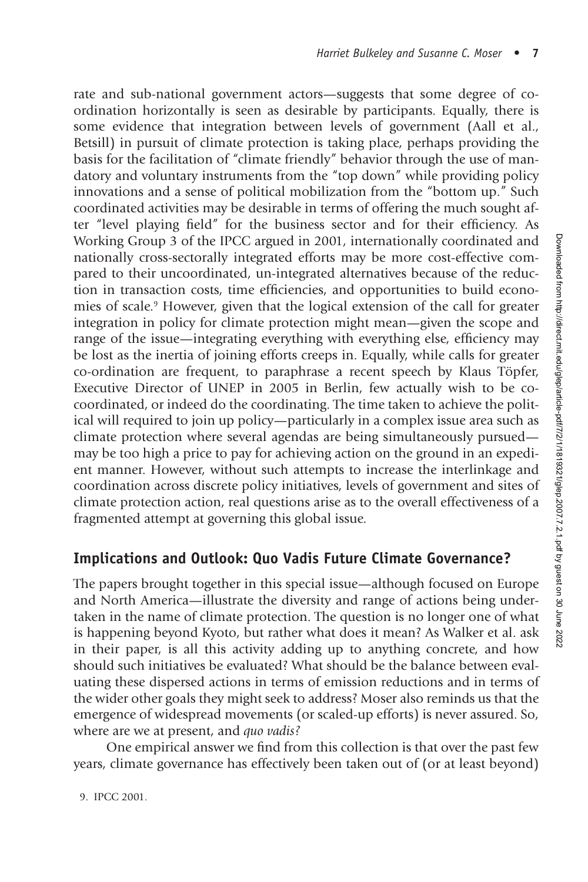rate and sub-national government actors—suggests that some degree of coordination horizontally is seen as desirable by participants. Equally, there is some evidence that integration between levels of government (Aall et al., Betsill) in pursuit of climate protection is taking place, perhaps providing the basis for the facilitation of "climate friendly" behavior through the use of mandatory and voluntary instruments from the "top down" while providing policy innovations and a sense of political mobilization from the "bottom up." Such coordinated activities may be desirable in terms of offering the much sought after "level playing field" for the business sector and for their efficiency. As Working Group 3 of the IPCC argued in 2001, internationally coordinated and nationally cross-sectorally integrated efforts may be more cost-effective compared to their uncoordinated, un-integrated alternatives because of the reduction in transaction costs, time efficiencies, and opportunities to build economies of scale.<sup>9</sup> However, given that the logical extension of the call for greater integration in policy for climate protection might mean—given the scope and range of the issue—integrating everything with everything else, efficiency may be lost as the inertia of joining efforts creeps in. Equally, while calls for greater co-ordination are frequent, to paraphrase a recent speech by Klaus Töpfer, Executive Director of UNEP in 2005 in Berlin, few actually wish to be cocoordinated, or indeed do the coordinating. The time taken to achieve the political will required to join up policy—particularly in a complex issue area such as climate protection where several agendas are being simultaneously pursued may be too high a price to pay for achieving action on the ground in an expedient manner. However, without such attempts to increase the interlinkage and coordination across discrete policy initiatives, levels of government and sites of climate protection action, real questions arise as to the overall effectiveness of a fragmented attempt at governing this global issue.

## **Implications and Outlook: Quo Vadis Future Climate Governance?**

The papers brought together in this special issue—although focused on Europe and North America—illustrate the diversity and range of actions being undertaken in the name of climate protection. The question is no longer one of what is happening beyond Kyoto, but rather what does it mean? As Walker et al. ask in their paper, is all this activity adding up to anything concrete, and how should such initiatives be evaluated? What should be the balance between evaluating these dispersed actions in terms of emission reductions and in terms of the wider other goals they might seek to address? Moser also reminds us that the emergence of widespread movements (or scaled-up efforts) is never assured. So, where are we at present, and *quo vadis?*

One empirical answer we find from this collection is that over the past few years, climate governance has effectively been taken out of (or at least beyond)

9. IPCC 2001.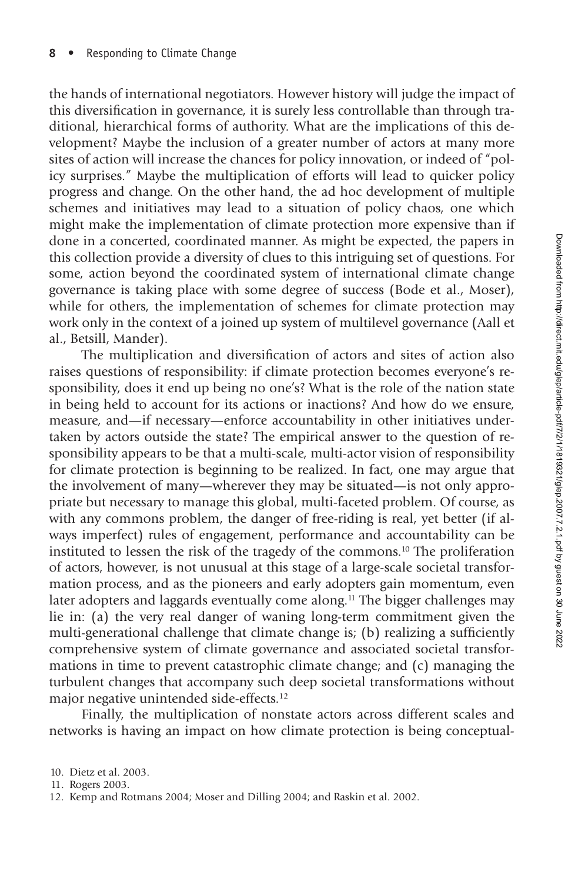the hands of international negotiators. However history will judge the impact of this diversification in governance, it is surely less controllable than through traditional, hierarchical forms of authority. What are the implications of this development? Maybe the inclusion of a greater number of actors at many more sites of action will increase the chances for policy innovation, or indeed of "policy surprises." Maybe the multiplication of efforts will lead to quicker policy progress and change. On the other hand, the ad hoc development of multiple schemes and initiatives may lead to a situation of policy chaos, one which might make the implementation of climate protection more expensive than if done in a concerted, coordinated manner. As might be expected, the papers in this collection provide a diversity of clues to this intriguing set of questions. For some, action beyond the coordinated system of international climate change governance is taking place with some degree of success (Bode et al., Moser), while for others, the implementation of schemes for climate protection may work only in the context of a joined up system of multilevel governance (Aall et al., Betsill, Mander).

The multiplication and diversification of actors and sites of action also raises questions of responsibility: if climate protection becomes everyone's responsibility, does it end up being no one's? What is the role of the nation state in being held to account for its actions or inactions? And how do we ensure, measure, and—if necessary—enforce accountability in other initiatives undertaken by actors outside the state? The empirical answer to the question of responsibility appears to be that a multi-scale, multi-actor vision of responsibility for climate protection is beginning to be realized. In fact, one may argue that the involvement of many—wherever they may be situated—is not only appropriate but necessary to manage this global, multi-faceted problem. Of course, as with any commons problem, the danger of free-riding is real, yet better (if always imperfect) rules of engagement, performance and accountability can be instituted to lessen the risk of the tragedy of the commons.10 The proliferation of actors, however, is not unusual at this stage of a large-scale societal transformation process, and as the pioneers and early adopters gain momentum, even later adopters and laggards eventually come along.<sup>11</sup> The bigger challenges may lie in: (a) the very real danger of waning long-term commitment given the multi-generational challenge that climate change is; (b) realizing a sufficiently comprehensive system of climate governance and associated societal transformations in time to prevent catastrophic climate change; and (c) managing the turbulent changes that accompany such deep societal transformations without major negative unintended side-effects.<sup>12</sup>

Finally, the multiplication of nonstate actors across different scales and networks is having an impact on how climate protection is being conceptual-

<sup>10.</sup> Dietz et al. 2003.

<sup>11.</sup> Rogers 2003.

<sup>12.</sup> Kemp and Rotmans 2004; Moser and Dilling 2004; and Raskin et al. 2002.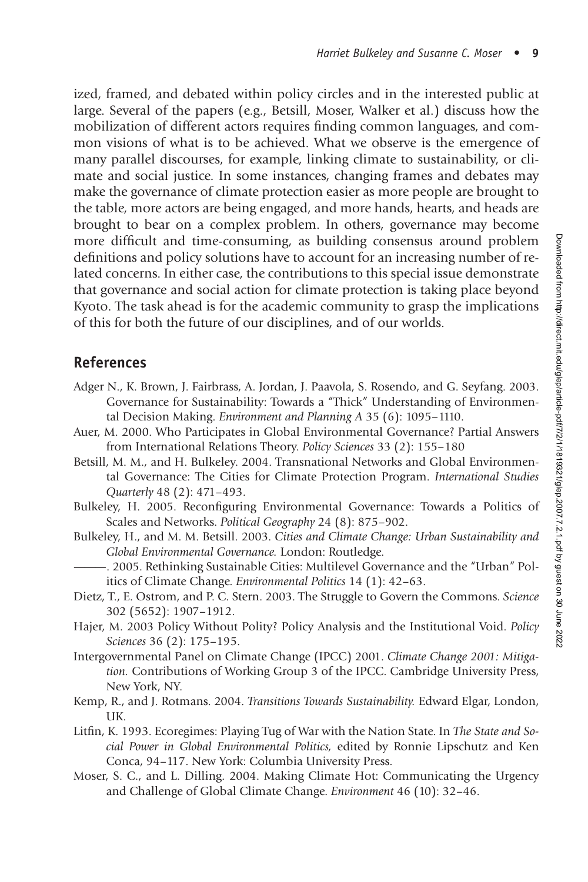ized, framed, and debated within policy circles and in the interested public at large. Several of the papers (e.g., Betsill, Moser, Walker et al.) discuss how the mobilization of different actors requires finding common languages, and common visions of what is to be achieved. What we observe is the emergence of many parallel discourses, for example, linking climate to sustainability, or climate and social justice. In some instances, changing frames and debates may make the governance of climate protection easier as more people are brought to the table, more actors are being engaged, and more hands, hearts, and heads are brought to bear on a complex problem. In others, governance may become more difficult and time-consuming, as building consensus around problem definitions and policy solutions have to account for an increasing number of related concerns. In either case, the contributions to this special issue demonstrate that governance and social action for climate protection is taking place beyond Kyoto. The task ahead is for the academic community to grasp the implications of this for both the future of our disciplines, and of our worlds.

#### **References**

- Adger N., K. Brown, J. Fairbrass, A. Jordan, J. Paavola, S. Rosendo, and G. Seyfang. 2003. Governance for Sustainability: Towards a "Thick" Understanding of Environmental Decision Making. *Environment and Planning A* 35 (6): 1095–1110.
- Auer, M. 2000. Who Participates in Global Environmental Governance? Partial Answers from International Relations Theory. *Policy Sciences* 33 (2): 155–180
- Betsill, M. M., and H. Bulkeley. 2004. Transnational Networks and Global Environmental Governance: The Cities for Climate Protection Program. *International Studies Quarterly* 48 (2): 471–493.
- Bulkeley, H. 2005. Reconfiguring Environmental Governance: Towards a Politics of Scales and Networks. *Political Geography* 24 (8): 875–902.
- Bulkeley, H., and M. M. Betsill. 2003. *Cities and Climate Change: Urban Sustainability and Global Environmental Governance.* London: Routledge.
- ———. 2005. Rethinking Sustainable Cities: Multilevel Governance and the "Urban" Politics of Climate Change. *Environmental Politics* 14 (1): 42–63.
- Dietz, T., E. Ostrom, and P. C. Stern. 2003. The Struggle to Govern the Commons. *Science* 302 (5652): 1907–1912.
- Hajer, M. 2003 Policy Without Polity? Policy Analysis and the Institutional Void. *Policy Sciences* 36 (2): 175–195.
- Intergovernmental Panel on Climate Change (IPCC) 2001. *Climate Change 2001: Mitigation.* Contributions of Working Group 3 of the IPCC. Cambridge University Press, New York, NY.
- Kemp, R., and J. Rotmans. 2004. *Transitions Towards Sustainability.* Edward Elgar, London, UK.
- Litfin, K. 1993. Ecoregimes: Playing Tug of War with the Nation State. In *The State and Social Power in Global Environmental Politics,* edited by Ronnie Lipschutz and Ken Conca, 94–117. New York: Columbia University Press.
- Moser, S. C., and L. Dilling. 2004. Making Climate Hot: Communicating the Urgency and Challenge of Global Climate Change. *Environment* 46 (10): 32–46.